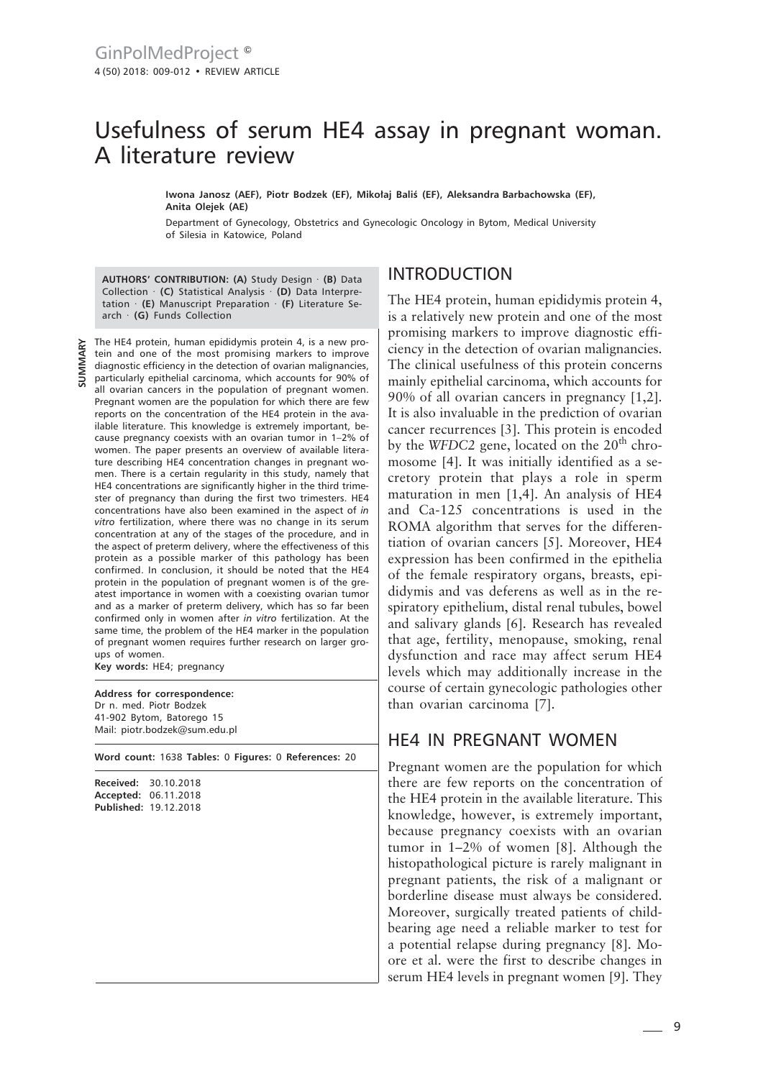## Usefulness of serum HE4 assay in pregnant woman. A literature review

**Iwona Janosz (AEF), Piotr Bodzek (EF), Mikołaj Baliś (EF), Aleksandra Barbachowska (EF), Anita Olejek (AE)**

Department of Gynecology, Obstetrics and Gynecologic Oncology in Bytom, Medical University of Silesia in Katowice, Poland

**AUTHORS' CONTRIBUTION: (A)** Study Design · **(B)** Data Collection · **(C)** Statistical Analysis · **(D)** Data Interpretation · **(E)** Manuscript Preparation · **(F)** Literature Search · **(G)** Funds Collection

The HE4 protein, human epididymis protein 4, is a new protein and one of the most promising markers to improve diagnostic efficiency in the detection of ovarian malignancies, particularly epithelial carcinoma, which accounts for 90% of all ovarian cancers in the population of pregnant women. Pregnant women are the population for which there are few reports on the concentration of the HE4 protein in the available literature. This knowledge is extremely important, because pregnancy coexists with an ovarian tumor in 1–2% of women. The paper presents an overview of available literature describing HE4 concentration changes in pregnant women. There is a certain regularity in this study, namely that HE4 concentrations are significantly higher in the third trimester of pregnancy than during the first two trimesters. HE4 concentrations have also been examined in the aspect of *in vitro* fertilization, where there was no change in its serum concentration at any of the stages of the procedure, and in the aspect of preterm delivery, where the effectiveness of this protein as a possible marker of this pathology has been confirmed. In conclusion, it should be noted that the HE4 protein in the population of pregnant women is of the greatest importance in women with a coexisting ovarian tumor and as a marker of preterm delivery, which has so far been confirmed only in women after *in vitro* fertilization. At the same time, the problem of the HE4 marker in the population of pregnant women requires further research on larger groups of women.

**Key words:** HE4; pregnancy

**Address for correspondence:** Dr n. med. Piotr Bodzek 41-902 Bytom, Batorego 15 Mail: piotr.bodzek@sum.edu.pl

**Word count:** 1638 **Tables:** 0 **Figures:** 0 **References:** 20

**Received:** 30.10.2018 **Accepted:** 06.11.2018 **Published:** 19.12.2018

## INTRODUCTION

The HE4 protein, human epididymis protein 4, is a relatively new protein and one of the most promising markers to improve diagnostic efficiency in the detection of ovarian malignancies. The clinical usefulness of this protein concerns mainly epithelial carcinoma, which accounts for 90% of all ovarian cancers in pregnancy [1,2]. It is also invaluable in the prediction of ovarian cancer recurrences [3]. This protein is encoded by the *WFDC2* gene, located on the  $20<sup>th</sup>$  chromosome [4]. It was initially identified as a secretory protein that plays a role in sperm maturation in men [1,4]. An analysis of HE4 and Ca-125 concentrations is used in the ROMA algorithm that serves for the differentiation of ovarian cancers [5]. Moreover, HE4 expression has been confirmed in the epithelia of the female respiratory organs, breasts, epididymis and vas deferens as well as in the respiratory epithelium, distal renal tubules, bowel and salivary glands [6]. Research has revealed that age, fertility, menopause, smoking, renal dysfunction and race may affect serum HE4 levels which may additionally increase in the course of certain gynecologic pathologies other than ovarian carcinoma [7].

## HE4 IN PREGNANT WOMEN

Pregnant women are the population for which there are few reports on the concentration of the HE4 protein in the available literature. This knowledge, however, is extremely important, because pregnancy coexists with an ovarian tumor in 1–2% of women [8]. Although the histopathological picture is rarely malignant in pregnant patients, the risk of a malignant or borderline disease must always be considered. Moreover, surgically treated patients of childbearing age need a reliable marker to test for a potential relapse during pregnancy [8]. Moore et al. were the first to describe changes in serum HE4 levels in pregnant women [9]. They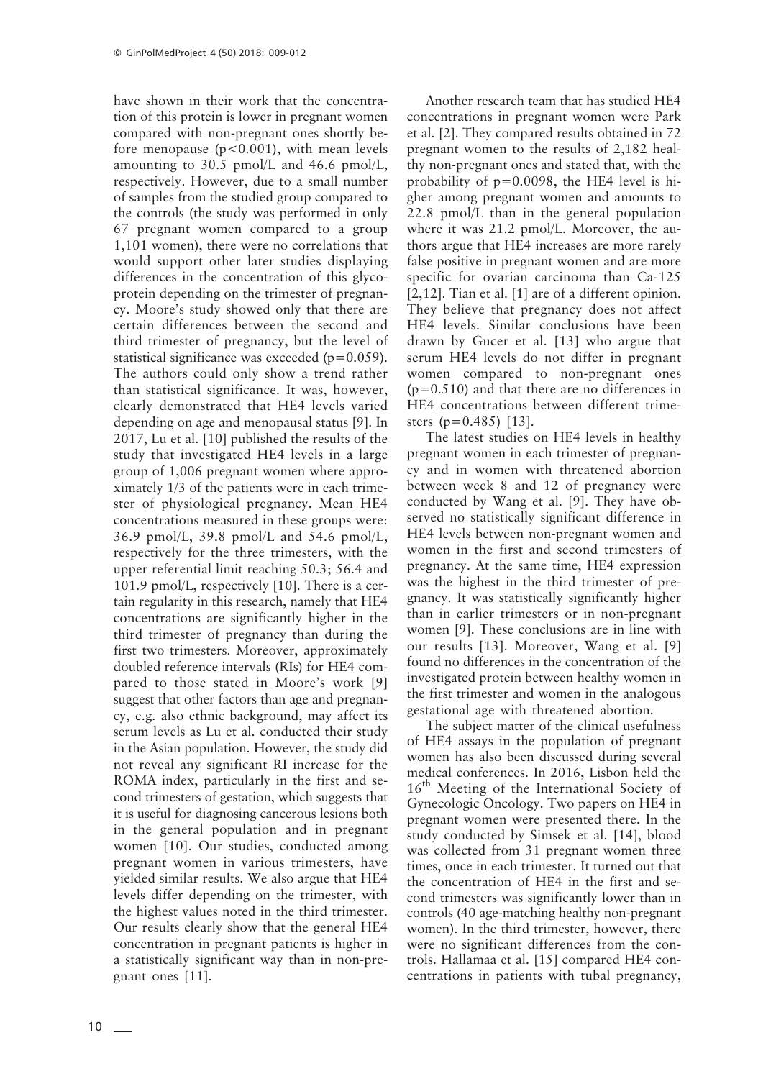have shown in their work that the concentration of this protein is lower in pregnant women compared with non-pregnant ones shortly before menopause ( $p < 0.001$ ), with mean levels amounting to 30.5 pmol/L and 46.6 pmol/L, respectively. However, due to a small number of samples from the studied group compared to the controls (the study was performed in only 67 pregnant women compared to a group 1,101 women), there were no correlations that would support other later studies displaying differences in the concentration of this glycoprotein depending on the trimester of pregnancy. Moore's study showed only that there are certain differences between the second and third trimester of pregnancy, but the level of statistical significance was exceeded  $(p=0.059)$ . The authors could only show a trend rather than statistical significance. It was, however, clearly demonstrated that HE4 levels varied depending on age and menopausal status [9]. In 2017, Lu et al. [10] published the results of the study that investigated HE4 levels in a large group of 1,006 pregnant women where approximately 1/3 of the patients were in each trimester of physiological pregnancy. Mean HE4 concentrations measured in these groups were: 36.9 pmol/L, 39.8 pmol/L and 54.6 pmol/L, respectively for the three trimesters, with the upper referential limit reaching 50.3; 56.4 and 101.9 pmol/L, respectively [10]. There is a certain regularity in this research, namely that HE4 concentrations are significantly higher in the third trimester of pregnancy than during the first two trimesters. Moreover, approximately doubled reference intervals (RIs) for HE4 compared to those stated in Moore's work [9] suggest that other factors than age and pregnancy, e.g. also ethnic background, may affect its serum levels as Lu et al. conducted their study in the Asian population. However, the study did not reveal any significant RI increase for the ROMA index, particularly in the first and second trimesters of gestation, which suggests that it is useful for diagnosing cancerous lesions both in the general population and in pregnant women [10]. Our studies, conducted among pregnant women in various trimesters, have yielded similar results. We also argue that HE4 levels differ depending on the trimester, with the highest values noted in the third trimester. Our results clearly show that the general HE4 concentration in pregnant patients is higher in a statistically significant way than in non-pregnant ones [11].

Another research team that has studied HE4 concentrations in pregnant women were Park et al. [2]. They compared results obtained in 72 pregnant women to the results of 2,182 healthy non-pregnant ones and stated that, with the probability of  $p=0.0098$ , the HE4 level is higher among pregnant women and amounts to 22.8 pmol/L than in the general population where it was 21.2 pmol/L. Moreover, the authors argue that HE4 increases are more rarely false positive in pregnant women and are more specific for ovarian carcinoma than Ca-125 [2,12]. Tian et al. [1] are of a different opinion. They believe that pregnancy does not affect HE4 levels. Similar conclusions have been drawn by Gucer et al. [13] who argue that serum HE4 levels do not differ in pregnant women compared to non-pregnant ones (p=0.510) and that there are no differences in HE4 concentrations between different trimesters (p=0.485) [13].

The latest studies on HE4 levels in healthy pregnant women in each trimester of pregnancy and in women with threatened abortion between week 8 and 12 of pregnancy were conducted by Wang et al. [9]. They have observed no statistically significant difference in HE4 levels between non-pregnant women and women in the first and second trimesters of pregnancy. At the same time, HE4 expression was the highest in the third trimester of pregnancy. It was statistically significantly higher than in earlier trimesters or in non-pregnant women [9]. These conclusions are in line with our results [13]. Moreover, Wang et al. [9] found no differences in the concentration of the investigated protein between healthy women in the first trimester and women in the analogous gestational age with threatened abortion.

The subject matter of the clinical usefulness of HE4 assays in the population of pregnant women has also been discussed during several medical conferences. In 2016, Lisbon held the 16<sup>th</sup> Meeting of the International Society of Gynecologic Oncology. Two papers on HE4 in pregnant women were presented there. In the study conducted by Simsek et al. [14], blood was collected from 31 pregnant women three times, once in each trimester. It turned out that the concentration of HE4 in the first and second trimesters was significantly lower than in controls (40 age-matching healthy non-pregnant women). In the third trimester, however, there were no significant differences from the controls. Hallamaa et al. [15] compared HE4 concentrations in patients with tubal pregnancy,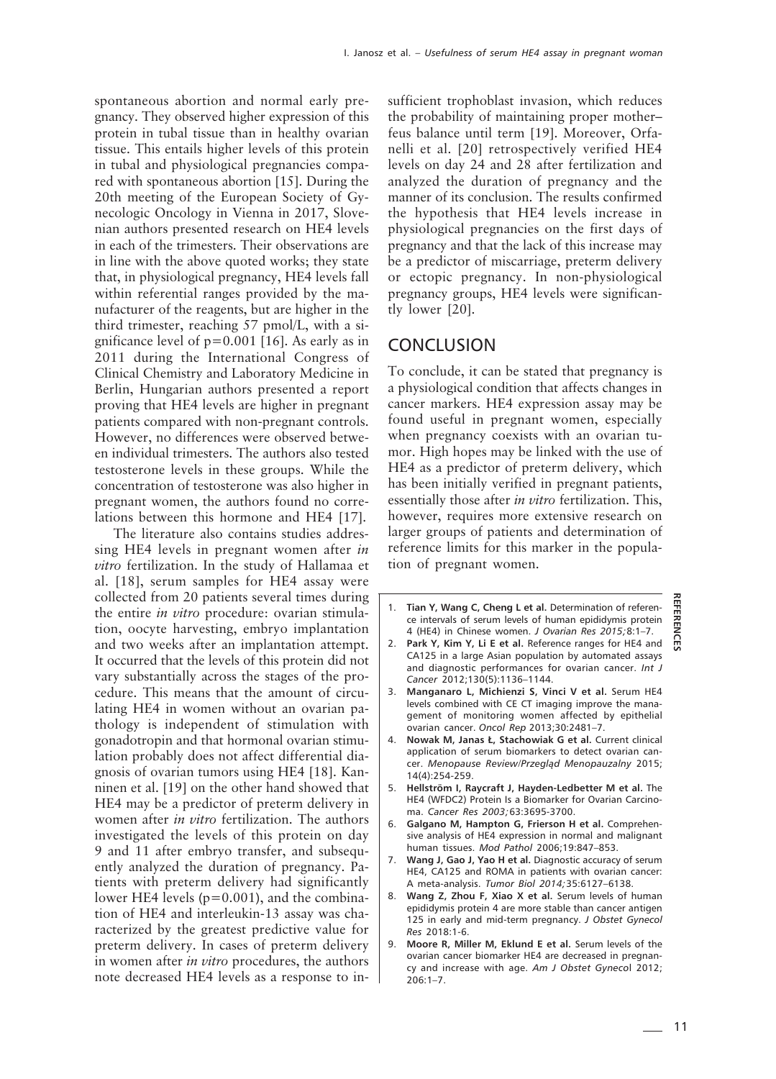spontaneous abortion and normal early pregnancy. They observed higher expression of this protein in tubal tissue than in healthy ovarian tissue. This entails higher levels of this protein in tubal and physiological pregnancies compared with spontaneous abortion [15]. During the 20th meeting of the European Society of Gynecologic Oncology in Vienna in 2017, Slovenian authors presented research on HE4 levels in each of the trimesters. Their observations are in line with the above quoted works; they state that, in physiological pregnancy, HE4 levels fall within referential ranges provided by the manufacturer of the reagents, but are higher in the third trimester, reaching 57 pmol/L, with a significance level of  $p=0.001$  [16]. As early as in 2011 during the International Congress of Clinical Chemistry and Laboratory Medicine in Berlin, Hungarian authors presented a report proving that HE4 levels are higher in pregnant patients compared with non-pregnant controls. However, no differences were observed between individual trimesters. The authors also tested testosterone levels in these groups. While the concentration of testosterone was also higher in pregnant women, the authors found no correlations between this hormone and HE4 [17].

The literature also contains studies addressing HE4 levels in pregnant women after *in vitro* fertilization. In the study of Hallamaa et al. [18], serum samples for HE4 assay were collected from 20 patients several times during the entire *in vitro* procedure: ovarian stimulation, oocyte harvesting, embryo implantation and two weeks after an implantation attempt. It occurred that the levels of this protein did not vary substantially across the stages of the procedure. This means that the amount of circulating HE4 in women without an ovarian pathology is independent of stimulation with gonadotropin and that hormonal ovarian stimulation probably does not affect differential diagnosis of ovarian tumors using HE4 [18]. Kanninen et al. [19] on the other hand showed that HE4 may be a predictor of preterm delivery in women after *in vitro* fertilization. The authors investigated the levels of this protein on day 9 and 11 after embryo transfer, and subsequently analyzed the duration of pregnancy. Patients with preterm delivery had significantly lower HE4 levels (p=0.001), and the combination of HE4 and interleukin-13 assay was characterized by the greatest predictive value for preterm delivery. In cases of preterm delivery in women after *in vitro* procedures, the authors note decreased HE4 levels as a response to insufficient trophoblast invasion, which reduces the probability of maintaining proper mother– feus balance until term [19]. Moreover, Orfanelli et al. [20] retrospectively verified HE4 levels on day 24 and 28 after fertilization and analyzed the duration of pregnancy and the manner of its conclusion. The results confirmed the hypothesis that HE4 levels increase in physiological pregnancies on the first days of pregnancy and that the lack of this increase may be a predictor of miscarriage, preterm delivery or ectopic pregnancy. In non-physiological pregnancy groups, HE4 levels were significantly lower [20].

## **CONCLUSION**

To conclude, it can be stated that pregnancy is a physiological condition that affects changes in cancer markers. HE4 expression assay may be found useful in pregnant women, especially when pregnancy coexists with an ovarian tumor. High hopes may be linked with the use of HE4 as a predictor of preterm delivery, which has been initially verified in pregnant patients, essentially those after *in vitro* fertilization. This, however, requires more extensive research on larger groups of patients and determination of reference limits for this marker in the population of pregnant women.

- 1. **Tian Y, Wang C, Cheng L et al.** Determination of reference intervals of serum levels of human epididymis protein 4 (HE4) in Chinese women. *J Ovarian Res 2015;*8:1–7.
- 2. **Park Y, Kim Y, Li E et al.** Reference ranges for HE4 and CA125 in a large Asian population by automated assays and diagnostic performances for ovarian cancer. *Int J Cancer* 2012;130(5):1136–1144.
- 3. **Manganaro L, Michienzi S, Vinci V et al.** Serum HE4 levels combined with CE CT imaging improve the management of monitoring women affected by epithelial ovarian cancer. *Oncol Rep* 2013;30:2481–7.
- 4. **Nowak M, Janas Ł, Stachowiak G et al.** Current clinical application of serum biomarkers to detect ovarian cancer. *Menopause Review/Przegląd Menopauzalny* 2015; 14(4):254-259.
- 5. **Hellström I, Raycraft J, Hayden-Ledbetter M et al.** The HE4 (WFDC2) Protein Is a Biomarker for Ovarian Carcinoma. *Cancer Res 2003;*63:3695-3700.
- 6. **Galgano M, Hampton G, Frierson H et al.** Comprehensive analysis of HE4 expression in normal and malignant human tissues. *Mod Pathol* 2006;19:847–853.
- 7. **Wang J, Gao J, Yao H et al.** Diagnostic accuracy of serum HE4, CA125 and ROMA in patients with ovarian cancer: A meta-analysis. *Tumor Biol 2014;*35:6127–6138.
- 8. **Wang Z, Zhou F, Xiao X et al.** Serum levels of human epididymis protein 4 are more stable than cancer antigen 125 in early and mid-term pregnancy. *J Obstet Gynecol Res* 2018:1-6.
- 9. **Moore R, Miller M, Eklund E et al.** Serum levels of the ovarian cancer biomarker HE4 are decreased in pregnancy and increase with age. *Am J Obstet Gyneco*l 2012; 206:1–7.

**REFERENCES**

쪾